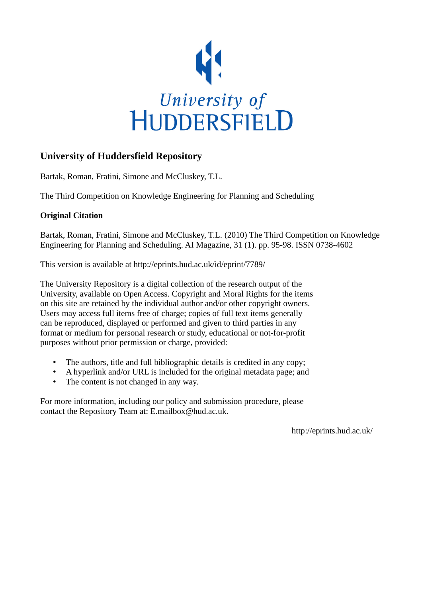

# **University of Huddersfield Repository**

Bartak, Roman, Fratini, Simone and McCluskey, T.L.

The Third Competition on Knowledge Engineering for Planning and Scheduling

# **Original Citation**

Bartak, Roman, Fratini, Simone and McCluskey, T.L. (2010) The Third Competition on Knowledge Engineering for Planning and Scheduling. AI Magazine, 31 (1). pp. 95-98. ISSN 0738-4602

This version is available at http://eprints.hud.ac.uk/id/eprint/7789/

The University Repository is a digital collection of the research output of the University, available on Open Access. Copyright and Moral Rights for the items on this site are retained by the individual author and/or other copyright owners. Users may access full items free of charge; copies of full text items generally can be reproduced, displayed or performed and given to third parties in any format or medium for personal research or study, educational or not-for-profit purposes without prior permission or charge, provided:

- The authors, title and full bibliographic details is credited in any copy;
- A hyperlink and/or URL is included for the original metadata page; and
- The content is not changed in any way.

For more information, including our policy and submission procedure, please contact the Repository Team at: E.mailbox@hud.ac.uk.

http://eprints.hud.ac.uk/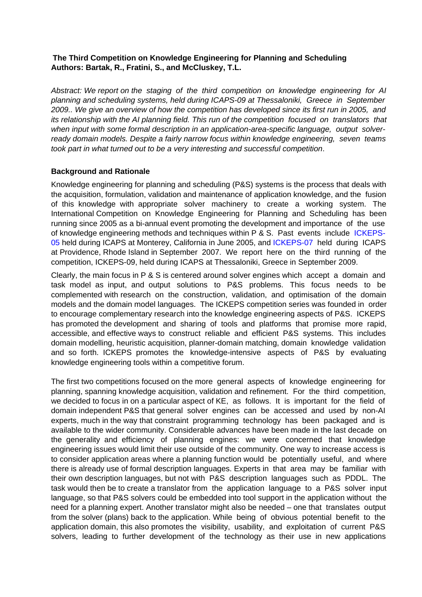## **The Third Competition on Knowledge Engineering for Planning and Scheduling Authors: Bartak, R., Fratini, S., and McCluskey, T.L.**

Abstract: We report on the staging of the third competition on knowledge engineering for AI planning and scheduling systems, held during ICAPS-09 at Thessaloniki, Greece in September 2009.. We give an overview of how the competition has developed since its first run in 2005, and its relationship with the AI planning field. This run of the competition focused on translators that when input with some formal description in an application-area-specific language, output solverready domain models. Despite a fairly narrow focus within knowledge engineering, seven teams took part in what turned out to be a very interesting and successful competition.

## **Background and Rationale**

Knowledge engineering for planning and scheduling (P&S) systems is the process that deals with the acquisition, formulation, validation and maintenance of application knowledge, and the fusion of this knowledge with appropriate solver machinery to create a working system. The International Competition on Knowledge Engineering for Planning and Scheduling has been running since 2005 as a bi-annual event promoting the development and importance of the use of knowledge engineering methods and techniques within P & S. Past events include ICKEPS-05 held during ICAPS at Monterey, California in June 2005, and ICKEPS-07 held during ICAPS at Providence, Rhode Island in September 2007. We report here on the third running of the competition, ICKEPS-09, held during ICAPS at Thessaloniki, Greece in September 2009.

Clearly, the main focus in P & S is centered around solver engines which accept a domain and task model as input, and output solutions to P&S problems. This focus needs to be complemented with research on the construction, validation, and optimisation of the domain models and the domain model languages. The ICKEPS competition series was founded in order to encourage complementary research into the knowledge engineering aspects of P&S. ICKEPS has promoted the development and sharing of tools and platforms that promise more rapid, accessible, and effective ways to construct reliable and efficient P&S systems. This includes domain modelling, heuristic acquisition, planner-domain matching, domain knowledge validation and so forth. ICKEPS promotes the knowledge-intensive aspects of P&S by evaluating knowledge engineering tools within a competitive forum.

The first two competitions focused on the more general aspects of knowledge engineering for planning, spanning knowledge acquisition, validation and refinement. For the third competition, we decided to focus in on a particular aspect of KE, as follows. It is important for the field of domain independent P&S that general solver engines can be accessed and used by non-AI experts, much in the way that constraint programming technology has been packaged and is available to the wider community. Considerable advances have been made in the last decade on the generality and efficiency of planning engines: we were concerned that knowledge engineering issues would limit their use outside of the community. One way to increase access is to consider application areas where a planning function would be potentially useful, and where there is already use of formal description languages. Experts in that area may be familiar with their own description languages, but not with P&S description languages such as PDDL. The task would then be to create a translator from the application language to a P&S solver input language, so that P&S solvers could be embedded into tool support in the application without the need for a planning expert. Another translator might also be needed – one that translates output from the solver (plans) back to the application. While being of obvious potential benefit to the application domain, this also promotes the visibility, usability, and exploitation of current P&S solvers, leading to further development of the technology as their use in new applications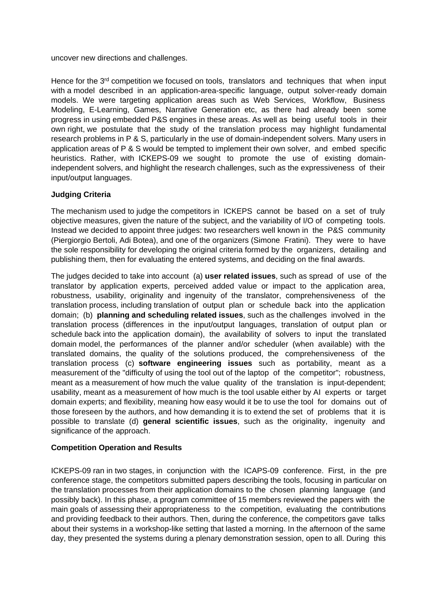uncover new directions and challenges.

Hence for the 3<sup>rd</sup> competition we focused on tools, translators and techniques that when input with a model described in an application-area-specific language, output solver-ready domain models. We were targeting application areas such as Web Services, Workflow, Business Modeling, E-Learning, Games, Narrative Generation etc, as there had already been some progress in using embedded P&S engines in these areas. As well as being useful tools in their own right, we postulate that the study of the translation process may highlight fundamental research problems in P & S, particularly in the use of domain-independent solvers. Many users in application areas of P & S would be tempted to implement their own solver, and embed specific heuristics. Rather, with ICKEPS-09 we sought to promote the use of existing domainindependent solvers, and highlight the research challenges, such as the expressiveness of their input/output languages.

## **Judging Criteria**

The mechanism used to judge the competitors in ICKEPS cannot be based on a set of truly objective measures, given the nature of the subject, and the variability of I/O of competing tools. Instead we decided to appoint three judges: two researchers well known in the P&S community (Piergiorgio Bertoli, Adi Botea), and one of the organizers (Simone Fratini). They were to have the sole responsibility for developing the original criteria formed by the organizers, detailing and publishing them, then for evaluating the entered systems, and deciding on the final awards.

The judges decided to take into account (a) **user related issues**, such as spread of use of the translator by application experts, perceived added value or impact to the application area, robustness, usability, originality and ingenuity of the translator, comprehensiveness of the translation process, including translation of output plan or schedule back into the application domain; (b) **planning and scheduling related issues**, such as the challenges involved in the translation process (differences in the input/output languages, translation of output plan or schedule back into the application domain), the availability of solvers to input the translated domain model, the performances of the planner and/or scheduler (when available) with the translated domains, the quality of the solutions produced, the comprehensiveness of the translation process (c) **software engineering issues** such as portability, meant as a measurement of the "difficulty of using the tool out of the laptop of the competitor"; robustness, meant as a measurement of how much the value quality of the translation is input-dependent; usability, meant as a measurement of how much is the tool usable either by AI experts or target domain experts; and flexibility, meaning how easy would it be to use the tool for domains out of those foreseen by the authors, and how demanding it is to extend the set of problems that it is possible to translate (d) **general scientific issues**, such as the originality, ingenuity and significance of the approach.

#### **Competition Operation and Results**

ICKEPS-09 ran in two stages, in conjunction with the ICAPS-09 conference. First, in the pre conference stage, the competitors submitted papers describing the tools, focusing in particular on the translation processes from their application domains to the chosen planning language (and possibly back). In this phase, a program committee of 15 members reviewed the papers with the main goals of assessing their appropriateness to the competition, evaluating the contributions and providing feedback to their authors. Then, during the conference, the competitors gave talks about their systems in a workshop-like setting that lasted a morning. In the afternoon of the same day, they presented the systems during a plenary demonstration session, open to all. During this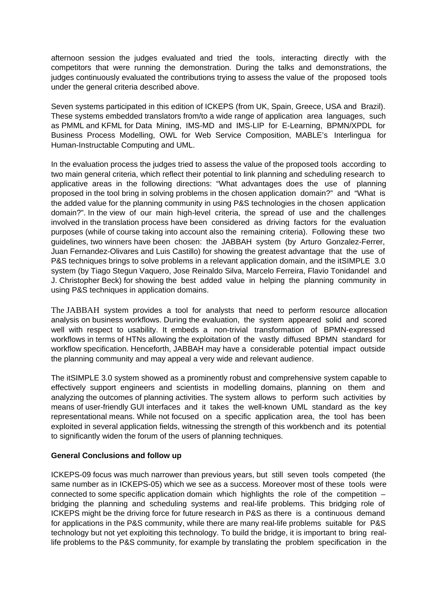afternoon session the judges evaluated and tried the tools, interacting directly with the competitors that were running the demonstration. During the talks and demonstrations, the judges continuously evaluated the contributions trying to assess the value of the proposed tools under the general criteria described above.

Seven systems participated in this edition of ICKEPS (from UK, Spain, Greece, USA and Brazil). These systems embedded translators from/to a wide range of application area languages, such as PMML and KFML for Data Mining, IMS-MD and IMS-LIP for E-Learning, BPMN/XPDL for Business Process Modelling, OWL for Web Service Composition, MABLE's Interlingua for Human-Instructable Computing and UML.

In the evaluation process the judges tried to assess the value of the proposed tools according to two main general criteria, which reflect their potential to link planning and scheduling research to applicative areas in the following directions: "What advantages does the use of planning proposed in the tool bring in solving problems in the chosen application domain?" and "What is the added value for the planning community in using P&S technologies in the chosen application domain?". In the view of our main high-level criteria, the spread of use and the challenges involved in the translation process have been considered as driving factors for the evaluation purposes (while of course taking into account also the remaining criteria). Following these two guidelines, two winners have been chosen: the JABBAH system (by Arturo Gonzalez-Ferrer, Juan Fernandez-Olivares and Luis Castillo) for showing the greatest advantage that the use of P&S techniques brings to solve problems in a relevant application domain, and the itSIMPLE 3.0 system (by Tiago Stegun Vaquero, Jose Reinaldo Silva, Marcelo Ferreira, Flavio Tonidandel and J. Christopher Beck) for showing the best added value in helping the planning community in using P&S techniques in application domains.

The JABBAH system provides a tool for analysts that need to perform resource allocation analysis on business workflows. During the evaluation, the system appeared solid and scored well with respect to usability. It embeds a non-trivial transformation of BPMN-expressed workflows in terms of HTNs allowing the exploitation of the vastly diffused BPMN standard for workflow specification. Henceforth, JABBAH may have a considerable potential impact outside the planning community and may appeal a very wide and relevant audience.

The itSIMPLE 3.0 system showed as a prominently robust and comprehensive system capable to effectively support engineers and scientists in modelling domains, planning on them and analyzing the outcomes of planning activities. The system allows to perform such activities by means of user-friendly GUI interfaces and it takes the well-known UML standard as the key representational means. While not focused on a specific application area, the tool has been exploited in several application fields, witnessing the strength of this workbench and its potential to significantly widen the forum of the users of planning techniques.

#### **General Conclusions and follow up**

ICKEPS-09 focus was much narrower than previous years, but still seven tools competed (the same number as in ICKEPS-05) which we see as a success. Moreover most of these tools were connected to some specific application domain which highlights the role of the competition – bridging the planning and scheduling systems and real-life problems. This bridging role of ICKEPS might be the driving force for future research in P&S as there is a continuous demand for applications in the P&S community, while there are many real-life problems suitable for P&S technology but not yet exploiting this technology. To build the bridge, it is important to bring reallife problems to the P&S community, for example by translating the problem specification in the